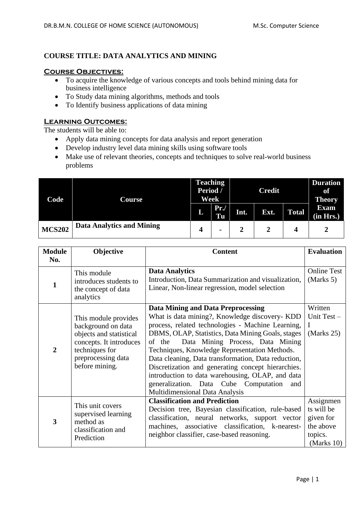# **COURSE TITLE: DATA ANALYTICS AND MINING**

### **Course Objectives:**

- To acquire the knowledge of various concepts and tools behind mining data for business intelligence
- To Study data mining algorithms, methods and tools
- To Identify business applications of data mining

## **Learning Outcomes:**

The students will be able to:

- Apply data mining concepts for data analysis and report generation
- Develop industry level data mining skills using software tools
- Make use of relevant theories, concepts and techniques to solve real-world business problems

| Code          | Course                           | <b>Teaching</b><br>Period /<br>Week |                | <b>Credit</b> |      |              | <b>Duration</b><br>of<br><b>Theory</b> |
|---------------|----------------------------------|-------------------------------------|----------------|---------------|------|--------------|----------------------------------------|
|               |                                  | L                                   | Pr.<br>Tu      | Int.          | Ext. | <b>Total</b> | <b>Exam</b><br>(in Hrs.)               |
| <b>MCS202</b> | <b>Data Analytics and Mining</b> | 4                                   | $\blacksquare$ |               |      |              |                                        |

| <b>Module</b>  | Objective                                                                                                                                                  | <b>Content</b>                                                                                                                                                                                                                                                                                                                                                                                                                                                                                                                                                 | <b>Evaluation</b>                                                          |
|----------------|------------------------------------------------------------------------------------------------------------------------------------------------------------|----------------------------------------------------------------------------------------------------------------------------------------------------------------------------------------------------------------------------------------------------------------------------------------------------------------------------------------------------------------------------------------------------------------------------------------------------------------------------------------------------------------------------------------------------------------|----------------------------------------------------------------------------|
| No.            |                                                                                                                                                            |                                                                                                                                                                                                                                                                                                                                                                                                                                                                                                                                                                |                                                                            |
| 1              | This module<br>introduces students to<br>the concept of data<br>analytics                                                                                  | <b>Data Analytics</b><br>Introduction, Data Summarization and visualization,<br>Linear, Non-linear regression, model selection                                                                                                                                                                                                                                                                                                                                                                                                                                 | <b>Online Test</b><br>(Marks 5)                                            |
| $\overline{2}$ | This module provides<br>background on data<br>objects and statistical<br>concepts. It introduces<br>techniques for<br>preprocessing data<br>before mining. | <b>Data Mining and Data Preprocessing</b><br>What is data mining?, Knowledge discovery- KDD<br>process, related technologies - Machine Learning,<br>DBMS, OLAP, Statistics, Data Mining Goals, stages<br>Data Mining Process, Data Mining<br>of the<br>Techniques, Knowledge Representation Methods.<br>Data cleaning, Data transformation, Data reduction,<br>Discretization and generating concept hierarchies.<br>introduction to data warehousing, OLAP, and data<br>generalization. Data Cube Computation<br>and<br><b>Multidimensional Data Analysis</b> | Written<br>Unit Test-<br>Ι<br>(Marks 25)                                   |
| 3              | This unit covers<br>supervised learning<br>method as<br>classification and<br>Prediction                                                                   | <b>Classification and Prediction</b><br>Decision tree, Bayesian classification, rule-based<br>classification, neural networks, support vector<br>machines, associative classification, k-nearest-<br>neighbor classifier, case-based reasoning.                                                                                                                                                                                                                                                                                                                | Assignmen<br>ts will be<br>given for<br>the above<br>topics.<br>(Marks 10) |